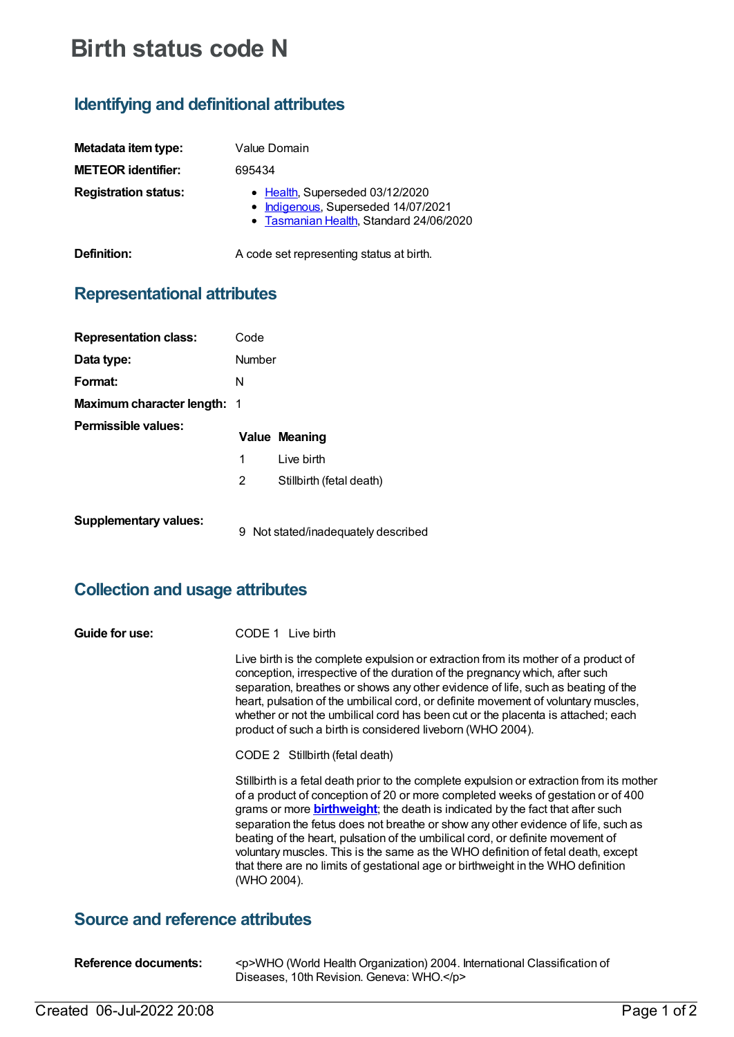# **Birth status code N**

## **Identifying and definitional attributes**

| Metadata item type:         | Value Domain                                                                                                      |
|-----------------------------|-------------------------------------------------------------------------------------------------------------------|
| <b>METEOR identifier:</b>   | 695434                                                                                                            |
| <b>Registration status:</b> | • Health, Superseded 03/12/2020<br>• Indigenous, Superseded 14/07/2021<br>• Tasmanian Health, Standard 24/06/2020 |
| Definition:                 | A code set representing status at birth.                                                                          |

## **Representational attributes**

| <b>Representation class:</b>       | Code                  |                                     |
|------------------------------------|-----------------------|-------------------------------------|
| Data type:                         | Number                |                                     |
| Format:                            | N                     |                                     |
| <b>Maximum character length: 1</b> |                       |                                     |
| Permissible values:                |                       | <b>Value Meaning</b>                |
|                                    | 1                     | Live birth                          |
|                                    | $\mathbf{2}^{\prime}$ | Stillbirth (fetal death)            |
| <b>Supplementary values:</b>       |                       | 9 Not stated/inadequately described |

## **Collection and usage attributes**

| Guide for use: | CODE 1 Live birth                                                                                                                                                                                                                                                                                                                                                                                                                                                                                                                                                                                                                   |  |  |
|----------------|-------------------------------------------------------------------------------------------------------------------------------------------------------------------------------------------------------------------------------------------------------------------------------------------------------------------------------------------------------------------------------------------------------------------------------------------------------------------------------------------------------------------------------------------------------------------------------------------------------------------------------------|--|--|
|                | Live birth is the complete expulsion or extraction from its mother of a product of<br>conception, irrespective of the duration of the pregnancy which, after such<br>separation, breathes or shows any other evidence of life, such as beating of the<br>heart, pulsation of the umbilical cord, or definite movement of voluntary muscles,<br>whether or not the umbilical cord has been cut or the placenta is attached; each<br>product of such a birth is considered liveborn (WHO 2004).                                                                                                                                       |  |  |
|                | CODE 2 Stillbirth (fetal death)                                                                                                                                                                                                                                                                                                                                                                                                                                                                                                                                                                                                     |  |  |
|                | Stillbirth is a fetal death prior to the complete expulsion or extraction from its mother<br>of a product of conception of 20 or more completed weeks of gestation or of 400<br>grams or more <b>birthweight</b> ; the death is indicated by the fact that after such<br>separation the fetus does not breathe or show any other evidence of life, such as<br>beating of the heart, pulsation of the umbilical cord, or definite movement of<br>voluntary muscles. This is the same as the WHO definition of fetal death, except<br>that there are no limits of gestational age or birthweight in the WHO definition<br>(WHO 2004). |  |  |

#### **Source and reference attributes**

| Reference documents: | <p>WHO (World Health Organization) 2004. International Classification of</p> |
|----------------------|------------------------------------------------------------------------------|
|                      | Diseases, 10th Revision. Geneva: WHO.                                        |